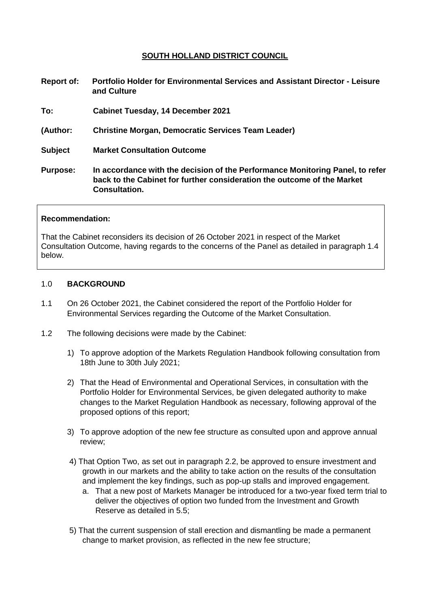#### **SOUTH HOLLAND DISTRICT COUNCIL**

**Report of: Portfolio Holder for Environmental Services and Assistant Director - Leisure and Culture To: Cabinet Tuesday, 14 December 2021 (Author: Christine Morgan, Democratic Services Team Leader) Subject Market Consultation Outcome Purpose: In accordance with the decision of the Performance Monitoring Panel, to refer back to the Cabinet for further consideration the outcome of the Market Consultation.**

#### **Recommendation:**

That the Cabinet reconsiders its decision of 26 October 2021 in respect of the Market Consultation Outcome, having regards to the concerns of the Panel as detailed in paragraph 1.4 below.

#### 1.0 **BACKGROUND**

- 1.1 On 26 October 2021, the Cabinet considered the report of the Portfolio Holder for Environmental Services regarding the Outcome of the Market Consultation.
- 1.2 The following decisions were made by the Cabinet:
	- 1) To approve adoption of the Markets Regulation Handbook following consultation from 18th June to 30th July 2021;
	- 2) That the Head of Environmental and Operational Services, in consultation with the Portfolio Holder for Environmental Services, be given delegated authority to make changes to the Market Regulation Handbook as necessary, following approval of the proposed options of this report;
	- 3) To approve adoption of the new fee structure as consulted upon and approve annual review;
	- 4) That Option Two, as set out in paragraph 2.2, be approved to ensure investment and growth in our markets and the ability to take action on the results of the consultation and implement the key findings, such as pop-up stalls and improved engagement.
		- a. That a new post of Markets Manager be introduced for a two-year fixed term trial to deliver the objectives of option two funded from the Investment and Growth Reserve as detailed in 5.5;
	- 5) That the current suspension of stall erection and dismantling be made a permanent change to market provision, as reflected in the new fee structure;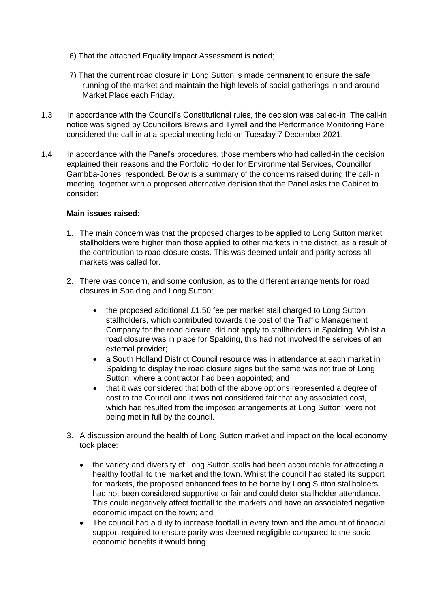- 6) That the attached Equality Impact Assessment is noted;
- 7) That the current road closure in Long Sutton is made permanent to ensure the safe running of the market and maintain the high levels of social gatherings in and around Market Place each Friday.
- 1.3 In accordance with the Council's Constitutional rules, the decision was called-in. The call-in notice was signed by Councillors Brewis and Tyrrell and the Performance Monitoring Panel considered the call-in at a special meeting held on Tuesday 7 December 2021.
- 1.4 In accordance with the Panel's procedures, those members who had called-in the decision explained their reasons and the Portfolio Holder for Environmental Services, Councillor Gambba-Jones, responded. Below is a summary of the concerns raised during the call-in meeting, together with a proposed alternative decision that the Panel asks the Cabinet to consider:

#### **Main issues raised:**

- 1. The main concern was that the proposed charges to be applied to Long Sutton market stallholders were higher than those applied to other markets in the district, as a result of the contribution to road closure costs. This was deemed unfair and parity across all markets was called for.
- 2. There was concern, and some confusion, as to the different arrangements for road closures in Spalding and Long Sutton:
	- the proposed additional £1.50 fee per market stall charged to Long Sutton stallholders, which contributed towards the cost of the Traffic Management Company for the road closure, did not apply to stallholders in Spalding. Whilst a road closure was in place for Spalding, this had not involved the services of an external provider;
	- a South Holland District Council resource was in attendance at each market in Spalding to display the road closure signs but the same was not true of Long Sutton, where a contractor had been appointed; and
	- that it was considered that both of the above options represented a degree of cost to the Council and it was not considered fair that any associated cost, which had resulted from the imposed arrangements at Long Sutton, were not being met in full by the council.
- 3. A discussion around the health of Long Sutton market and impact on the local economy took place:
	- the variety and diversity of Long Sutton stalls had been accountable for attracting a healthy footfall to the market and the town. Whilst the council had stated its support for markets, the proposed enhanced fees to be borne by Long Sutton stallholders had not been considered supportive or fair and could deter stallholder attendance. This could negatively affect footfall to the markets and have an associated negative economic impact on the town; and
	- The council had a duty to increase footfall in every town and the amount of financial support required to ensure parity was deemed negligible compared to the socioeconomic benefits it would bring.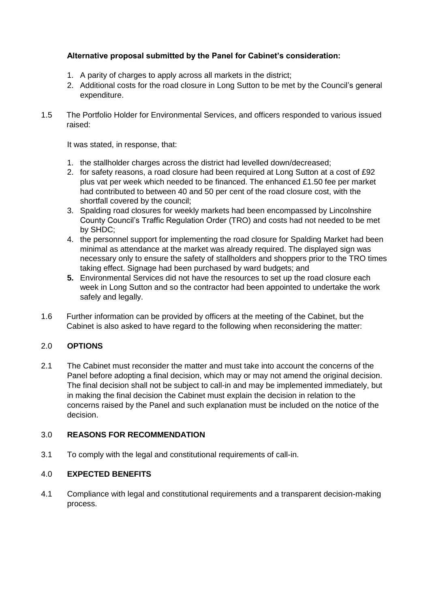### **Alternative proposal submitted by the Panel for Cabinet's consideration:**

- 1. A parity of charges to apply across all markets in the district;
- 2. Additional costs for the road closure in Long Sutton to be met by the Council's general expenditure.
- 1.5 The Portfolio Holder for Environmental Services, and officers responded to various issued raised:

It was stated, in response, that:

- 1. the stallholder charges across the district had levelled down/decreased;
- 2. for safety reasons, a road closure had been required at Long Sutton at a cost of £92 plus vat per week which needed to be financed. The enhanced £1.50 fee per market had contributed to between 40 and 50 per cent of the road closure cost, with the shortfall covered by the council;
- 3. Spalding road closures for weekly markets had been encompassed by Lincolnshire County Council's Traffic Regulation Order (TRO) and costs had not needed to be met by SHDC;
- 4. the personnel support for implementing the road closure for Spalding Market had been minimal as attendance at the market was already required. The displayed sign was necessary only to ensure the safety of stallholders and shoppers prior to the TRO times taking effect. Signage had been purchased by ward budgets; and
- **5.** Environmental Services did not have the resources to set up the road closure each week in Long Sutton and so the contractor had been appointed to undertake the work safely and legally.
- 1.6 Further information can be provided by officers at the meeting of the Cabinet, but the Cabinet is also asked to have regard to the following when reconsidering the matter:

### 2.0 **OPTIONS**

2.1 The Cabinet must reconsider the matter and must take into account the concerns of the Panel before adopting a final decision, which may or may not amend the original decision. The final decision shall not be subject to call-in and may be implemented immediately, but in making the final decision the Cabinet must explain the decision in relation to the concerns raised by the Panel and such explanation must be included on the notice of the decision.

### 3.0 **REASONS FOR RECOMMENDATION**

3.1 To comply with the legal and constitutional requirements of call-in.

### 4.0 **EXPECTED BENEFITS**

4.1 Compliance with legal and constitutional requirements and a transparent decision-making process.